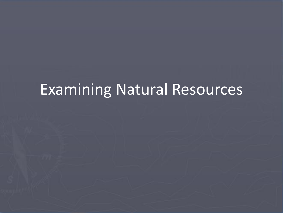# Examining Natural Resources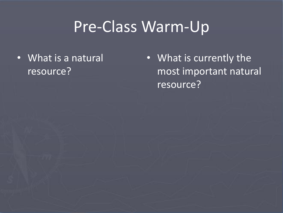### Pre-Class Warm-Up

• What is a natural resource?

• What is currently the most important natural resource?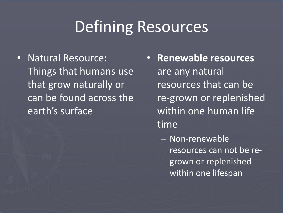### Defining Resources

- Natural Resource: Things that humans use that grow naturally or can be found across the earth's surface
- **Renewable resources**  are any natural resources that can be re-grown or replenished within one human life time
	- Non-renewable resources can not be regrown or replenished within one lifespan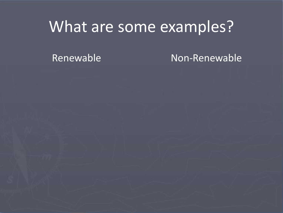### What are some examples?

Renewable Non-Renewable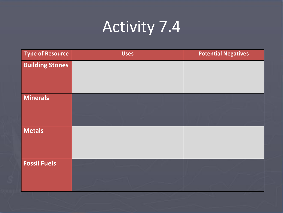# Activity 7.4

| <b>Type of Resource</b> | <b>Uses</b> | <b>Potential Negatives</b> |
|-------------------------|-------------|----------------------------|
| <b>Building Stones</b>  |             |                            |
| <b>Minerals</b>         |             |                            |
| <b>Metals</b>           |             |                            |
| <b>Fossil Fuels</b>     |             |                            |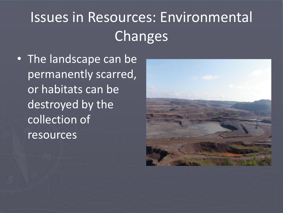# Issues in Resources: Environmental Changes

• The landscape can be permanently scarred, or habitats can be destroyed by the collection of resources

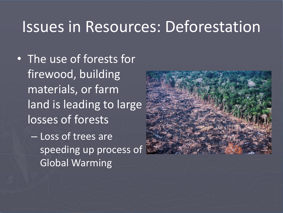#### Issues in Resources: Deforestation

- The use of forests for firewood, building materials, or farm land is leading to large losses of forests – Loss of trees are
	- speeding up process of Global Warming

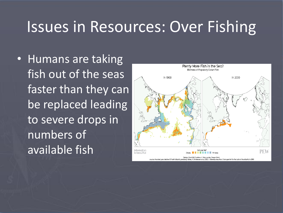#### Issues in Resources: Over Fishing

• Humans are taking fish out of the seas faster than they can be replaced leading to severe drops in numbers of available fish

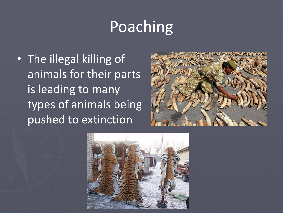### Poaching

• The illegal killing of animals for their parts is leading to many types of animals being pushed to extinction



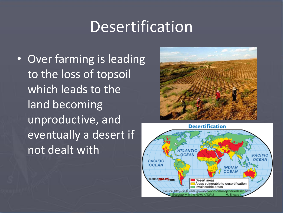### Desertification

• Over farming is leading to the loss of topsoil which leads to the land becoming unproductive, and eventually a desert if not dealt with



**Desertification** 

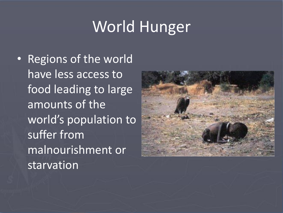# World Hunger

• Regions of the world have less access to food leading to large amounts of the world's population to suffer from malnourishment or starvation